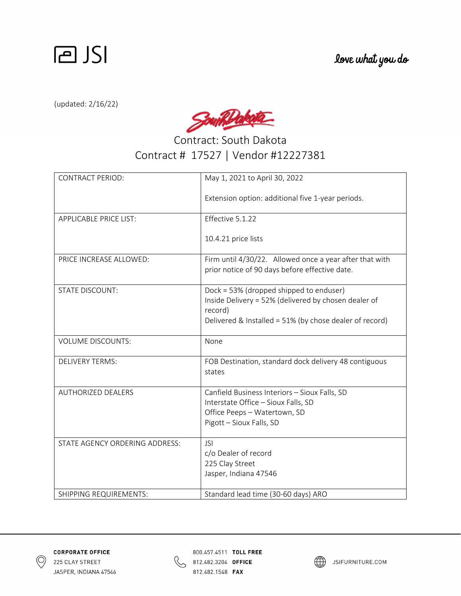

(updated: 2/16/22)

SouthDakota

Contract: South Dakota Contract # 17527 | Vendor #12227381

| <b>CONTRACT PERIOD:</b>        | May 1, 2021 to April 30, 2022                                                                                                                                         |
|--------------------------------|-----------------------------------------------------------------------------------------------------------------------------------------------------------------------|
|                                | Extension option: additional five 1-year periods.                                                                                                                     |
| <b>APPLICABLE PRICE LIST:</b>  | Effective 5.1.22                                                                                                                                                      |
|                                | 10.4.21 price lists                                                                                                                                                   |
| PRICE INCREASE ALLOWED:        | Firm until 4/30/22. Allowed once a year after that with<br>prior notice of 90 days before effective date.                                                             |
| <b>STATE DISCOUNT:</b>         | Dock = 53% (dropped shipped to enduser)<br>Inside Delivery = 52% (delivered by chosen dealer of<br>record)<br>Delivered & Installed = 51% (by chose dealer of record) |
| <b>VOLUME DISCOUNTS:</b>       | None                                                                                                                                                                  |
| <b>DELIVERY TERMS:</b>         | FOB Destination, standard dock delivery 48 contiguous<br>states                                                                                                       |
| <b>AUTHORIZED DEALERS</b>      | Canfield Business Interiors - Sioux Falls, SD<br>Interstate Office - Sioux Falls, SD<br>Office Peeps - Watertown, SD<br>Pigott - Sioux Falls, SD                      |
| STATE AGENCY ORDERING ADDRESS: | <b>JSI</b><br>c/o Dealer of record<br>225 Clay Street<br>Jasper, Indiana 47546                                                                                        |
| SHIPPING REQUIREMENTS:         | Standard lead time (30-60 days) ARO                                                                                                                                   |